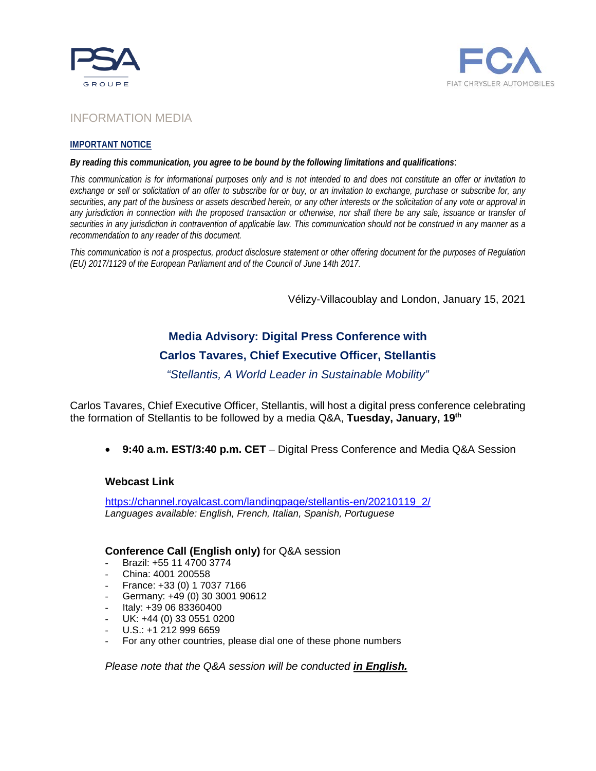



# INFORMATION MEDIA

### **IMPORTANT NOTICE**

#### *By reading this communication, you agree to be bound by the following limitations and qualifications*:

*This communication is for informational purposes only and is not intended to and does not constitute an offer or invitation to exchange or sell or solicitation of an offer to subscribe for or buy, or an invitation to exchange, purchase or subscribe for, any securities, any part of the business or assets described herein, or any other interests or the solicitation of any vote or approval in any jurisdiction in connection with the proposed transaction or otherwise, nor shall there be any sale, issuance or transfer of securities in any jurisdiction in contravention of applicable law. This communication should not be construed in any manner as a recommendation to any reader of this document.*

*This communication is not a prospectus, product disclosure statement or other offering document for the purposes of Regulation (EU) 2017/1129 of the European Parliament and of the Council of June 14th 2017.*

Vélizy-Villacoublay and London, January 15, 2021

# **Media Advisory: Digital Press Conference with**

# **Carlos Tavares, Chief Executive Officer, Stellantis**

*"Stellantis, A World Leader in Sustainable Mobility"*

Carlos Tavares, Chief Executive Officer, Stellantis, will host a digital press conference celebrating the formation of Stellantis to be followed by a media Q&A, **Tuesday, January, 19th**

• **9:40 a.m. EST/3:40 p.m. CET** – Digital Press Conference and Media Q&A Session

### **Webcast Link**

[https://channel.royalcast.com/landingpage/stellantis-en/20210119\\_2/](https://channel.royalcast.com/landingpage/stellantis-en/20210119_2/) *Languages available: English, French, Italian, Spanish, Portuguese*

### **Conference Call (English only)** for Q&A session

- Brazil: +55 11 4700 3774
- China: 4001 200558
- France: +33 (0) 1 7037 7166
- Germany: +49 (0) 30 3001 90612
- Italy: +39 06 83360400
- UK: +44 (0) 33 0551 0200
- $U.S.: +12129996659$
- For any other countries, please dial one of these phone numbers

*Please note that the Q&A session will be conducted in English.*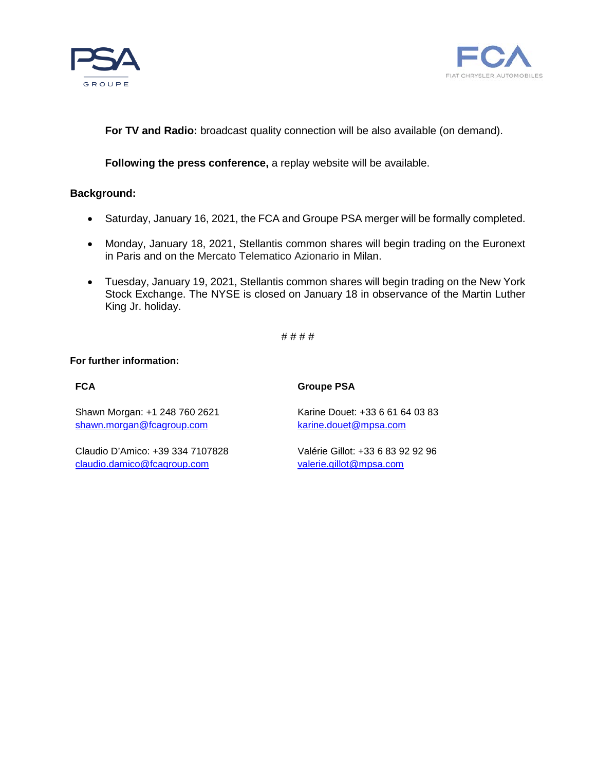



**For TV and Radio:** broadcast quality connection will be also available (on demand).

**Following the press conference,** a replay website will be available.

## **Background:**

- Saturday, January 16, 2021, the FCA and Groupe PSA merger will be formally completed.
- Monday, January 18, 2021, Stellantis common shares will begin trading on the Euronext in Paris and on the Mercato Telematico Azionario in Milan.
- Tuesday, January 19, 2021, Stellantis common shares will begin trading on the New York Stock Exchange. The NYSE is closed on January 18 in observance of the Martin Luther King Jr. holiday.

# # # #

### **For further information:**

## **FCA Groupe PSA**

Shawn Morgan: +1 248 760 2621 [shawn.morgan@fcagroup.com](mailto:shawn.morgan@fcagroup.com)

Karine Douet: +33 6 61 64 03 83 [karine.douet@mpsa.com](mailto:karine.douet@mpsa.com)

Claudio D'Amico: +39 334 7107828 claudio.damico@fcagroup.com

Valérie Gillot: +33 6 83 92 92 96 [valerie.gillot@mpsa.com](mailto:valerie.gillot@mpsa.com)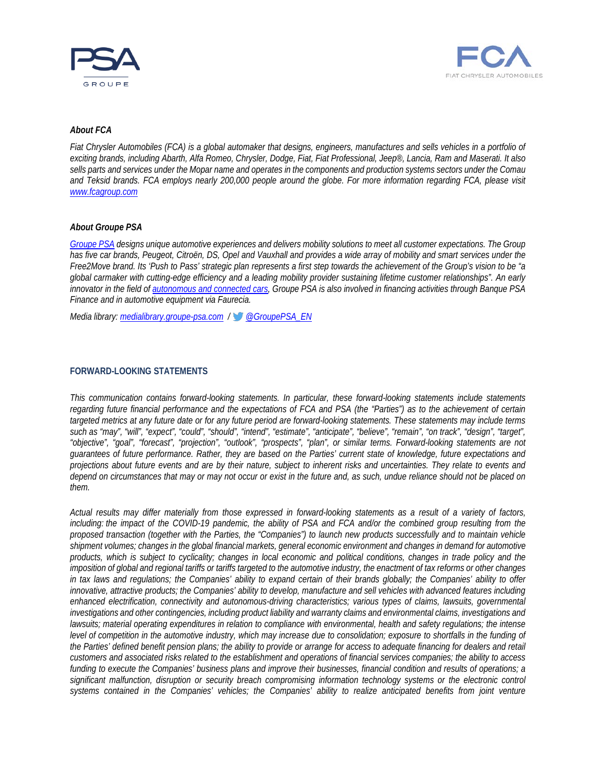



### *About FCA*

*Fiat Chrysler Automobiles (FCA) is a global automaker that designs, engineers, manufactures and sells vehicles in a portfolio of exciting brands, including Abarth, Alfa Romeo, Chrysler, Dodge, Fiat, Fiat Professional, Jeep®, Lancia, Ram and Maserati. It also sells parts and services under the Mopar name and operates in the components and production systems sectors under the Comau and Teksid brands. FCA employs nearly 200,000 people around the globe. For more information regarding FCA, please visit [www.fcagroup.com](https://www.fcagroup.com/en-US/Pages/home.aspx)*

#### *About Groupe PSA*

*[Groupe PSA](https://www.groupe-psa.com/en/) designs unique automotive experiences and delivers mobility solutions to meet all customer expectations. The Group has five car brands, Peugeot, Citroën, DS, Opel and Vauxhall and provides a wide array of mobility and smart services under the Free2Move brand. Its 'Push to Pass' strategic plan represents a first step towards the achievement of the Group's vision to be "a global carmaker with cutting-edge efficiency and a leading mobility provider sustaining lifetime customer relationships". An early innovator in the field o[f autonomous and connected cars,](https://www.groupe-psa.com/en/story/en-route-vers-la-voiture-autonome/) Groupe PSA is also involved in financing activities through Banque PSA Finance and in automotive equipment via Faurecia.*

*Media library[: medialibrary.groupe-psa.com](http://medialibrary.groupe-psa.com/) / [@GroupePSA\\_EN](https://twitter.com/GroupePSA_EN)*

#### **FORWARD-LOOKING STATEMENTS**

*This communication contains forward-looking statements. In particular, these forward-looking statements include statements regarding future financial performance and the expectations of FCA and PSA (the "Parties") as to the achievement of certain targeted metrics at any future date or for any future period are forward-looking statements. These statements may include terms such as "may", "will", "expect", "could", "should", "intend", "estimate", "anticipate", "believe", "remain", "on track", "design", "target", "objective", "goal", "forecast", "projection", "outlook", "prospects", "plan", or similar terms. Forward-looking statements are not guarantees of future performance. Rather, they are based on the Parties' current state of knowledge, future expectations and projections about future events and are by their nature, subject to inherent risks and uncertainties. They relate to events and depend on circumstances that may or may not occur or exist in the future and, as such, undue reliance should not be placed on them.*

*Actual results may differ materially from those expressed in forward-looking statements as a result of a variety of factors, including: the impact of the COVID-19 pandemic, the ability of PSA and FCA and/or the combined group resulting from the proposed transaction (together with the Parties, the "Companies") to launch new products successfully and to maintain vehicle shipment volumes; changes in the global financial markets, general economic environment and changes in demand for automotive products, which is subject to cyclicality; changes in local economic and political conditions, changes in trade policy and the imposition of global and regional tariffs or tariffs targeted to the automotive industry, the enactment of tax reforms or other changes in tax laws and regulations; the Companies' ability to expand certain of their brands globally; the Companies' ability to offer innovative, attractive products; the Companies' ability to develop, manufacture and sell vehicles with advanced features including enhanced electrification, connectivity and autonomous-driving characteristics; various types of claims, lawsuits, governmental investigations and other contingencies, including product liability and warranty claims and environmental claims, investigations and lawsuits; material operating expenditures in relation to compliance with environmental, health and safety regulations; the intense level of competition in the automotive industry, which may increase due to consolidation; exposure to shortfalls in the funding of the Parties' defined benefit pension plans; the ability to provide or arrange for access to adequate financing for dealers and retail customers and associated risks related to the establishment and operations of financial services companies; the ability to access funding to execute the Companies' business plans and improve their businesses, financial condition and results of operations; a*  significant malfunction, disruption or security breach compromising information technology systems or the electronic control *systems contained in the Companies' vehicles; the Companies' ability to realize anticipated benefits from joint venture*